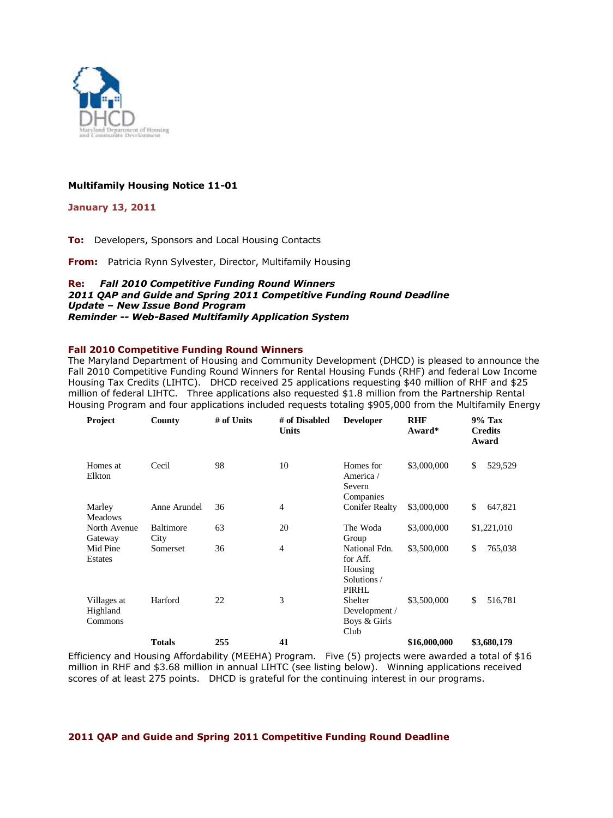

# **Multifamily Housing Notice 11-01**

**January 13, 2011** 

**To:** Developers, Sponsors and Local Housing Contacts

**From:** Patricia Rynn Sylvester, Director, Multifamily Housing

#### **Re:** *Fall 2010 Competitive Funding Round Winners 2011 QAP and Guide and Spring 2011 Competitive Funding Round Deadline Update – New Issue Bond Program Reminder -- Web-Based Multifamily Application System*

## **Fall 2010 Competitive Funding Round Winners**

The Maryland Department of Housing and Community Development (DHCD) is pleased to announce the Fall 2010 Competitive Funding Round Winners for Rental Housing Funds (RHF) and federal Low Income Housing Tax Credits (LIHTC). DHCD received 25 applications requesting \$40 million of RHF and \$25 million of federal LIHTC. Three applications also requested \$1.8 million from the Partnership Rental Housing Program and four applications included requests totaling \$905,000 from the Multifamily Energy

| Project                            | County                   | # of Units | # of Disabled<br><b>Units</b> | <b>Developer</b>                                            | <b>RHF</b><br>Award* | <b>9% Tax</b><br><b>Credits</b><br>Award |
|------------------------------------|--------------------------|------------|-------------------------------|-------------------------------------------------------------|----------------------|------------------------------------------|
| Homes at<br>Elkton                 | Cecil                    | 98         | 10                            | Homes for<br>America /<br>Severn<br>Companies               | \$3,000,000          | \$<br>529,529                            |
| Marley<br><b>Meadows</b>           | Anne Arundel             | 36         | 4                             | <b>Conifer Realty</b>                                       | \$3,000,000          | \$<br>647,821                            |
| North Avenue<br>Gateway            | <b>Baltimore</b><br>City | 63         | 20                            | The Woda<br>Group                                           | \$3,000,000          | \$1,221,010                              |
| Mid Pine<br>Estates                | Somerset                 | 36         | $\overline{4}$                | National Fdn.<br>for Aff.<br>Housing<br>Solutions/<br>PIRHL | \$3,500,000          | \$<br>765,038                            |
| Villages at<br>Highland<br>Commons | Harford                  | 22         | 3                             | Shelter<br>Development /<br>Boys & Girls<br>Club            | \$3,500,000          | \$<br>516,781                            |
|                                    | <b>Totals</b>            | 255        | 41                            |                                                             | \$16,000,000         | \$3,680,179                              |

Efficiency and Housing Affordability (MEEHA) Program. Five (5) projects were awarded a total of \$16 million in RHF and \$3.68 million in annual LIHTC (see listing below). Winning applications received scores of at least 275 points. DHCD is grateful for the continuing interest in our programs.

#### **2011 QAP and Guide and Spring 2011 Competitive Funding Round Deadline**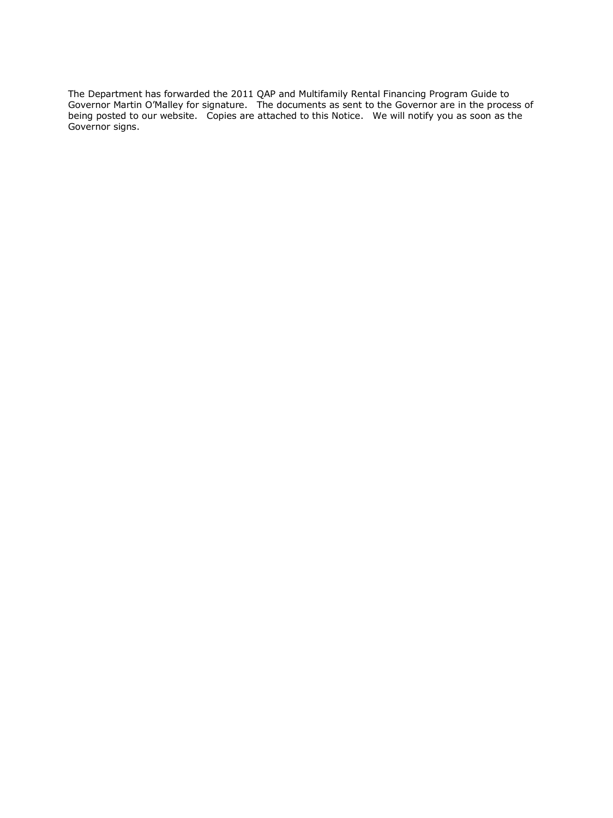The Department has forwarded the 2011 QAP and Multifamily Rental Financing Program Guide to Governor Martin O'Malley for signature. The documents as sent to the Governor are in the process of being posted to our website. Copies are attached to this Notice. We will notify you as soon as the Governor signs.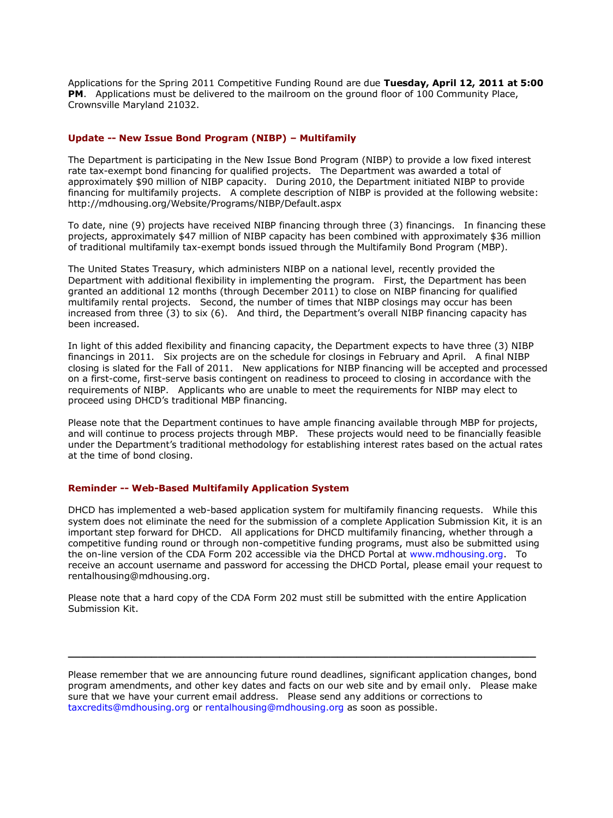Applications for the Spring 2011 Competitive Funding Round are due **Tuesday, April 12, 2011 at 5:00 PM.** Applications must be delivered to the mailroom on the ground floor of 100 Community Place, Crownsville Maryland 21032.

#### **Update -- New Issue Bond Program (NIBP) – Multifamily**

The Department is participating in the New Issue Bond Program (NIBP) to provide a low fixed interest rate tax-exempt bond financing for qualified projects. The Department was awarded a total of approximately \$90 million of NIBP capacity. During 2010, the Department initiated NIBP to provide financing for multifamily projects. A complete description of NIBP is provided at the following website: http://mdhousing.org/Website/Programs/NIBP/Default.aspx

To date, nine (9) projects have received NIBP financing through three (3) financings. In financing these projects, approximately \$47 million of NIBP capacity has been combined with approximately \$36 million of traditional multifamily tax-exempt bonds issued through the Multifamily Bond Program (MBP).

The United States Treasury, which administers NIBP on a national level, recently provided the Department with additional flexibility in implementing the program. First, the Department has been granted an additional 12 months (through December 2011) to close on NIBP financing for qualified multifamily rental projects. Second, the number of times that NIBP closings may occur has been increased from three (3) to six (6). And third, the Department's overall NIBP financing capacity has been increased.

In light of this added flexibility and financing capacity, the Department expects to have three (3) NIBP financings in 2011. Six projects are on the schedule for closings in February and April. A final NIBP closing is slated for the Fall of 2011. New applications for NIBP financing will be accepted and processed on a first-come, first-serve basis contingent on readiness to proceed to closing in accordance with the requirements of NIBP. Applicants who are unable to meet the requirements for NIBP may elect to proceed using DHCD's traditional MBP financing.

Please note that the Department continues to have ample financing available through MBP for projects, and will continue to process projects through MBP. These projects would need to be financially feasible under the Department's traditional methodology for establishing interest rates based on the actual rates at the time of bond closing.

## **Reminder -- Web-Based Multifamily Application System**

DHCD has implemented a web-based application system for multifamily financing requests. While this system does not eliminate the need for the submission of a complete Application Submission Kit, it is an important step forward for DHCD. All applications for DHCD multifamily financing, whether through a competitive funding round or through non-competitive funding programs, must also be submitted using the on-line version of the CDA Form 202 accessible via the DHCD Portal at [www.mdhousing.org.](http://www.mdhousing.org/) To receive an account username and password for accessing the DHCD Portal, please email your request to rentalhousing@mdhousing.org.

Please note that a hard copy of the CDA Form 202 must still be submitted with the entire Application Submission Kit.

Please remember that we are announcing future round deadlines, significant application changes, bond program amendments, and other key dates and facts on our web site and by email only. Please make sure that we have your current email address. Please send any additions or corrections to [taxcredits@mdhousing.org](mailto:taxcredits@mdhousing.org) or [rentalhousing@mdhousing.org](mailto:rentalhousing@mdhousing.org) as soon as possible.

**\_\_\_\_\_\_\_\_\_\_\_\_\_\_\_\_\_\_\_\_\_\_\_\_\_\_\_\_\_\_\_\_\_\_\_\_\_\_\_\_\_\_\_\_\_\_\_\_\_\_\_\_\_\_\_\_\_\_\_\_\_\_\_\_\_\_\_\_\_\_\_\_\_**